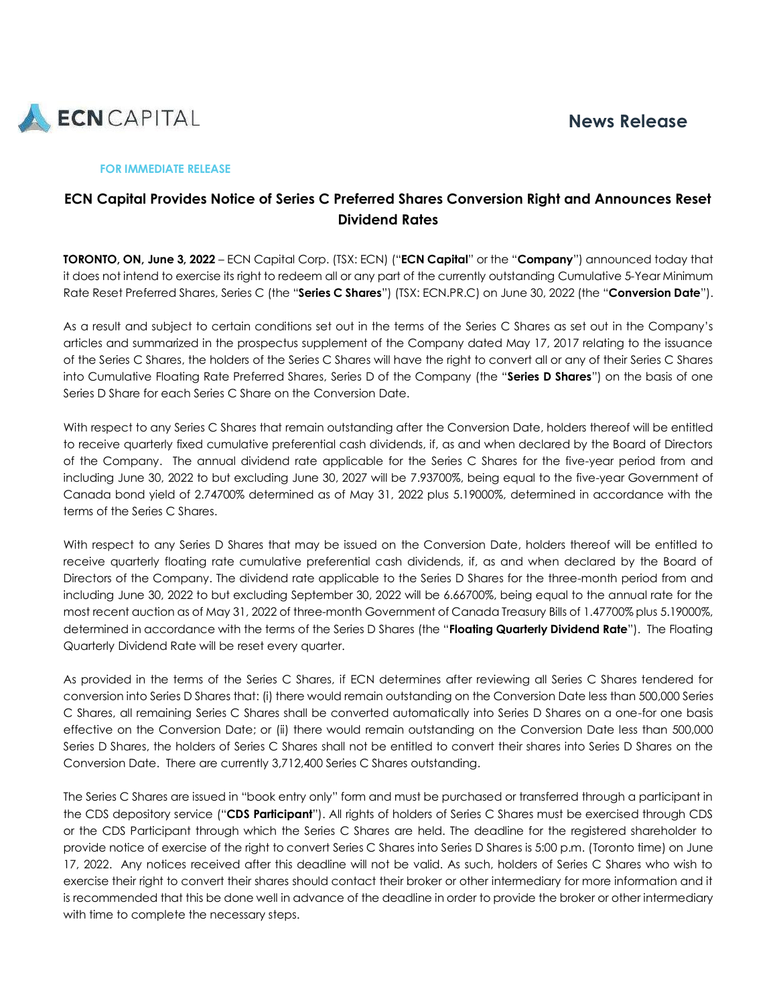

#### **FOR IMMEDIATE RELEASE**

# **ECN Capital Provides Notice of Series C Preferred Shares Conversion Right and Announces Reset Dividend Rates**

**TORONTO, ON, June 3, 2022** – ECN Capital Corp. (TSX: ECN) ("**ECN Capital**" or the "**Company**") announced today that it does not intend to exercise its right to redeem all or any part of the currently outstanding Cumulative 5-Year Minimum Rate Reset Preferred Shares, Series C (the "**Series C Shares**") (TSX: ECN.PR.C) on June 30, 2022 (the "**Conversion Date**").

As a result and subject to certain conditions set out in the terms of the Series C Shares as set out in the Company's articles and summarized in the prospectus supplement of the Company dated May 17, 2017 relating to the issuance of the Series C Shares, the holders of the Series C Shares will have the right to convert all or any of their Series C Shares into Cumulative Floating Rate Preferred Shares, Series D of the Company (the "**Series D Shares**") on the basis of one Series D Share for each Series C Share on the Conversion Date.

With respect to any Series C Shares that remain outstanding after the Conversion Date, holders thereof will be entitled to receive quarterly fixed cumulative preferential cash dividends, if, as and when declared by the Board of Directors of the Company. The annual dividend rate applicable for the Series C Shares for the five-year period from and including June 30, 2022 to but excluding June 30, 2027 will be 7.93700%, being equal to the five-year Government of Canada bond yield of 2.74700% determined as of May 31, 2022 plus 5.19000%, determined in accordance with the terms of the Series C Shares.

With respect to any Series D Shares that may be issued on the Conversion Date, holders thereof will be entitled to receive quarterly floating rate cumulative preferential cash dividends, if, as and when declared by the Board of Directors of the Company. The dividend rate applicable to the Series D Shares for the three-month period from and including June 30, 2022 to but excluding September 30, 2022 will be 6.66700%, being equal to the annual rate for the most recent auction as of May 31, 2022 of three-month Government of Canada Treasury Bills of 1.47700% plus 5.19000%, determined in accordance with the terms of the Series D Shares (the "**Floating Quarterly Dividend Rate**"). The Floating Quarterly Dividend Rate will be reset every quarter.

As provided in the terms of the Series C Shares, if ECN determines after reviewing all Series C Shares tendered for conversion into Series D Shares that: (i) there would remain outstanding on the Conversion Date less than 500,000 Series C Shares, all remaining Series C Shares shall be converted automatically into Series D Shares on a one-for one basis effective on the Conversion Date; or (ii) there would remain outstanding on the Conversion Date less than 500,000 Series D Shares, the holders of Series C Shares shall not be entitled to convert their shares into Series D Shares on the Conversion Date. There are currently 3,712,400 Series C Shares outstanding.

The Series C Shares are issued in "book entry only" form and must be purchased or transferred through a participant in the CDS depository service ("**CDS Participant**"). All rights of holders of Series C Shares must be exercised through CDS or the CDS Participant through which the Series C Shares are held. The deadline for the registered shareholder to provide notice of exercise of the right to convert Series C Shares into Series D Shares is 5:00 p.m. (Toronto time) on June 17, 2022. Any notices received after this deadline will not be valid. As such, holders of Series C Shares who wish to exercise their right to convert their shares should contact their broker or other intermediary for more information and it is recommended that this be done well in advance of the deadline in order to provide the broker or other intermediary with time to complete the necessary steps.